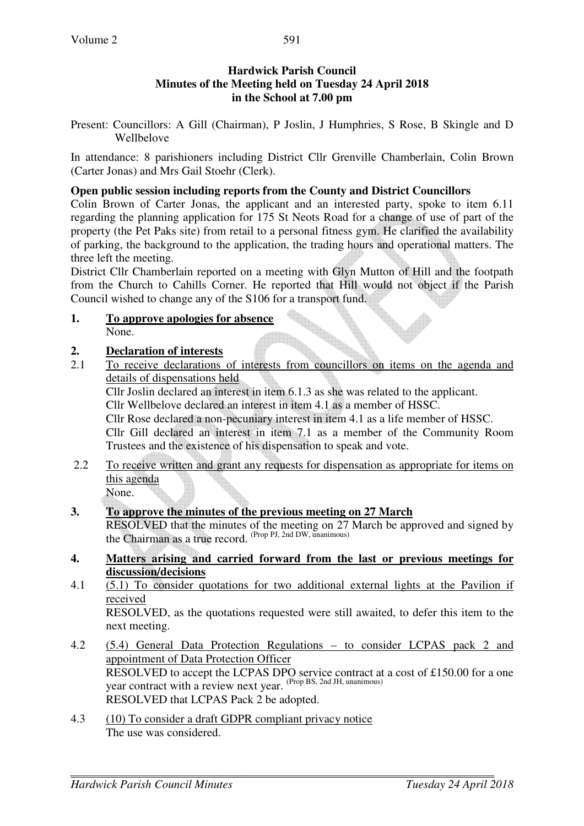#### **Hardwick Parish Council Minutes of the Meeting held on Tuesday 24 April 2018 in the School at 7.00 pm**

Present: Councillors: A Gill (Chairman), P Joslin, J Humphries, S Rose, B Skingle and D Wellbelove

In attendance: 8 parishioners including District Cllr Grenville Chamberlain, Colin Brown (Carter Jonas) and Mrs Gail Stoehr (Clerk).

#### **Open public session including reports from the County and District Councillors**

Colin Brown of Carter Jonas, the applicant and an interested party, spoke to item 6.11 regarding the planning application for 175 St Neots Road for a change of use of part of the property (the Pet Paks site) from retail to a personal fitness gym. He clarified the availability of parking, the background to the application, the trading hours and operational matters. The three left the meeting.

District Cllr Chamberlain reported on a meeting with Glyn Mutton of Hill and the footpath from the Church to Cahills Corner. He reported that Hill would not object if the Parish Council wished to change any of the S106 for a transport fund.

**1. To approve apologies for absence** None.

#### **2. Declaration of interests**

2.1 To receive declarations of interests from councillors on items on the agenda and details of dispensations held

Cllr Joslin declared an interest in item 6.1.3 as she was related to the applicant.

Cllr Wellbelove declared an interest in item 4.1 as a member of HSSC.

Cllr Rose declared a non-pecuniary interest in item 4.1 as a life member of HSSC.

Cllr Gill declared an interest in item 7.1 as a member of the Community Room Trustees and the existence of his dispensation to speak and vote.

2.2 To receive written and grant any requests for dispensation as appropriate for items on this agenda

None.

#### **3. To approve the minutes of the previous meeting on 27 March**

RESOLVED that the minutes of the meeting on 27 March be approved and signed by the Chairman as a true record. (Prop PJ, 2nd DW, unanimous)

- **4. Matters arising and carried forward from the last or previous meetings for discussion/decisions**
- 4.1 (5.1) To consider quotations for two additional external lights at the Pavilion if received

RESOLVED, as the quotations requested were still awaited, to defer this item to the next meeting.

- 4.2 (5.4) General Data Protection Regulations to consider LCPAS pack 2 and appointment of Data Protection Officer RESOLVED to accept the LCPAS DPO service contract at a cost of £150.00 for a one year contract with a review next year. (Prop BS, 2nd JH, unanimous) RESOLVED that LCPAS Pack 2 be adopted.
- 4.3 (10) To consider a draft GDPR compliant privacy notice The use was considered.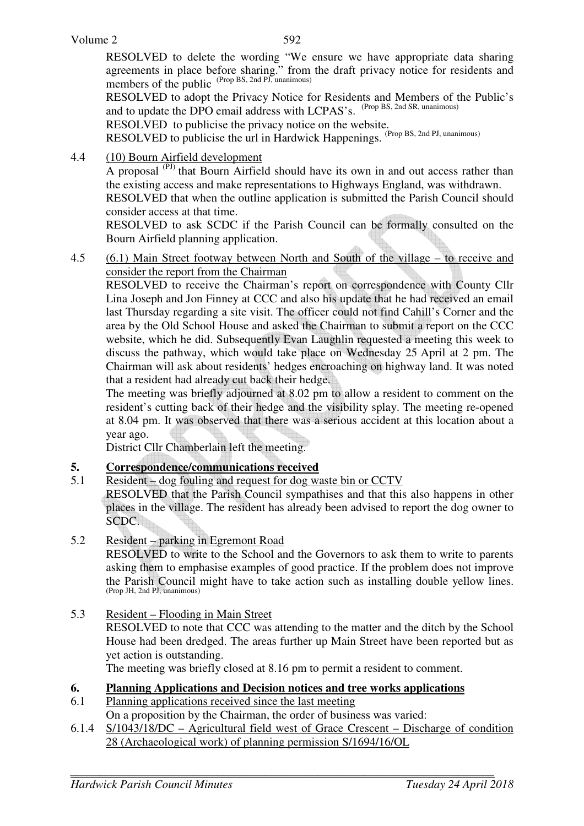RESOLVED to delete the wording "We ensure we have appropriate data sharing agreements in place before sharing." from the draft privacy notice for residents and members of the public (Prop BS, 2nd PJ, unanimous)

RESOLVED to adopt the Privacy Notice for Residents and Members of the Public's and to update the DPO email address with LCPAS's. (Prop BS, 2nd SR, unanimous)

RESOLVED to publicise the privacy notice on the website.

RESOLVED to publicise the url in Hardwick Happenings. (Prop BS, 2nd PJ, unanimous)

4.4 (10) Bourn Airfield development

A proposal <sup>(PJ)</sup> that Bourn Airfield should have its own in and out access rather than the existing access and make representations to Highways England, was withdrawn. RESOLVED that when the outline application is submitted the Parish Council should

consider access at that time.

 RESOLVED to ask SCDC if the Parish Council can be formally consulted on the Bourn Airfield planning application.

4.5 (6.1) Main Street footway between North and South of the village – to receive and consider the report from the Chairman

 RESOLVED to receive the Chairman's report on correspondence with County Cllr Lina Joseph and Jon Finney at CCC and also his update that he had received an email last Thursday regarding a site visit. The officer could not find Cahill's Corner and the area by the Old School House and asked the Chairman to submit a report on the CCC website, which he did. Subsequently Evan Laughlin requested a meeting this week to discuss the pathway, which would take place on Wednesday 25 April at 2 pm. The Chairman will ask about residents' hedges encroaching on highway land. It was noted that a resident had already cut back their hedge.

 The meeting was briefly adjourned at 8.02 pm to allow a resident to comment on the resident's cutting back of their hedge and the visibility splay. The meeting re-opened at 8.04 pm. It was observed that there was a serious accident at this location about a year ago.

District Cllr Chamberlain left the meeting.

### **5. Correspondence/communications received**

- 5.1 Resident dog fouling and request for dog waste bin or CCTV RESOLVED that the Parish Council sympathises and that this also happens in other places in the village. The resident has already been advised to report the dog owner to SCDC.
- 5.2 Resident parking in Egremont Road

RESOLVED to write to the School and the Governors to ask them to write to parents asking them to emphasise examples of good practice. If the problem does not improve the Parish Council might have to take action such as installing double yellow lines. (Prop JH, 2nd PJ, unanimous)

5.3 Resident – Flooding in Main Street RESOLVED to note that CCC was attending to the matter and the ditch by the School House had been dredged. The areas further up Main Street have been reported but as yet action is outstanding.

The meeting was briefly closed at 8.16 pm to permit a resident to comment.

- **6. Planning Applications and Decision notices and tree works applications**
- 6.1 Planning applications received since the last meeting On a proposition by the Chairman, the order of business was varied:
- 6.1.4 S/1043/18/DC Agricultural field west of Grace Crescent Discharge of condition 28 (Archaeological work) of planning permission S/1694/16/OL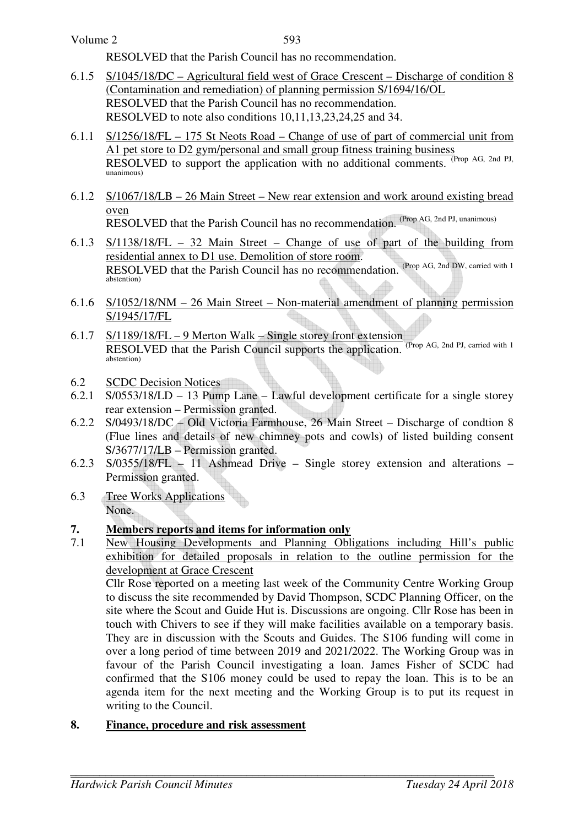RESOLVED that the Parish Council has no recommendation.

- 6.1.5 S/1045/18/DC Agricultural field west of Grace Crescent Discharge of condition 8 (Contamination and remediation) of planning permission S/1694/16/OL RESOLVED that the Parish Council has no recommendation. RESOLVED to note also conditions 10,11,13,23,24,25 and 34.
- 6.1.1 S/1256/18/FL 175 St Neots Road Change of use of part of commercial unit from A1 pet store to D2 gym/personal and small group fitness training business RESOLVED to support the application with no additional comments. <sup>(Prop</sup> AG, 2nd PJ, unanimous)
- 6.1.2 S/1067/18/LB 26 Main Street New rear extension and work around existing bread oven

RESOLVED that the Parish Council has no recommendation. (Prop AG, 2nd PJ, unanimous)

- 6.1.3 S/1138/18/FL 32 Main Street Change of use of part of the building from residential annex to D1 use. Demolition of store room. RESOLVED that the Parish Council has no recommendation. (Prop AG, 2nd DW, carried with 1) abstention)
- 6.1.6 S/1052/18/NM 26 Main Street Non-material amendment of planning permission S/1945/17/FL
- 6.1.7 S/1189/18/FL 9 Merton Walk Single storey front extension RESOLVED that the Parish Council supports the application. (Prop AG, 2nd PJ, carried with 1) abstention)
- 6.2 SCDC Decision Notices
- 6.2.1 S/0553/18/LD 13 Pump Lane Lawful development certificate for a single storey rear extension – Permission granted.
- 6.2.2 S/0493/18/DC Old Victoria Farmhouse, 26 Main Street Discharge of condtion 8 (Flue lines and details of new chimney pots and cowls) of listed building consent S/3677/17/LB – Permission granted.
- 6.2.3 S/0355/18/FL 11 Ashmead Drive Single storey extension and alterations Permission granted.
- 6.3 Tree Works Applications None.

# **7. Members reports and items for information only**<br>**7.1** New Housing Developments and Planning Obl

New Housing Developments and Planning Obligations including Hill's public exhibition for detailed proposals in relation to the outline permission for the development at Grace Crescent

Cllr Rose reported on a meeting last week of the Community Centre Working Group to discuss the site recommended by David Thompson, SCDC Planning Officer, on the site where the Scout and Guide Hut is. Discussions are ongoing. Cllr Rose has been in touch with Chivers to see if they will make facilities available on a temporary basis. They are in discussion with the Scouts and Guides. The S106 funding will come in over a long period of time between 2019 and 2021/2022. The Working Group was in favour of the Parish Council investigating a loan. James Fisher of SCDC had confirmed that the S106 money could be used to repay the loan. This is to be an agenda item for the next meeting and the Working Group is to put its request in writing to the Council.

## **8. Finance, procedure and risk assessment**